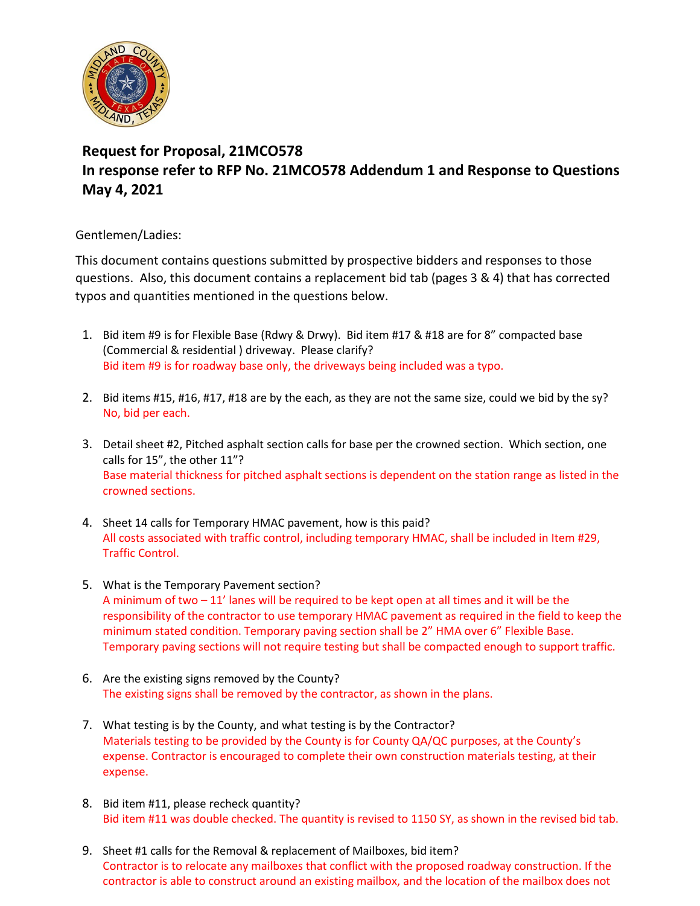

## **Request for Proposal, 21MCO578 In response refer to RFP No. 21MCO578 Addendum 1 and Response to Questions May 4, 2021**

## Gentlemen/Ladies:

This document contains questions submitted by prospective bidders and responses to those questions. Also, this document contains a replacement bid tab (pages 3 & 4) that has corrected typos and quantities mentioned in the questions below.

- 1. Bid item #9 is for Flexible Base (Rdwy & Drwy). Bid item #17 & #18 are for 8" compacted base (Commercial & residential ) driveway. Please clarify? Bid item #9 is for roadway base only, the driveways being included was a typo.
- 2. Bid items #15, #16, #17, #18 are by the each, as they are not the same size, could we bid by the sy? No, bid per each.
- 3. Detail sheet #2, Pitched asphalt section calls for base per the crowned section. Which section, one calls for 15", the other 11"? Base material thickness for pitched asphalt sections is dependent on the station range as listed in the crowned sections.
- 4. Sheet 14 calls for Temporary HMAC pavement, how is this paid? All costs associated with traffic control, including temporary HMAC, shall be included in Item #29, Traffic Control.
- 5. What is the Temporary Pavement section? A minimum of two – 11' lanes will be required to be kept open at all times and it will be the responsibility of the contractor to use temporary HMAC pavement as required in the field to keep the minimum stated condition. Temporary paving section shall be 2" HMA over 6" Flexible Base. Temporary paving sections will not require testing but shall be compacted enough to support traffic.
- 6. Are the existing signs removed by the County? The existing signs shall be removed by the contractor, as shown in the plans.
- 7. What testing is by the County, and what testing is by the Contractor? Materials testing to be provided by the County is for County QA/QC purposes, at the County's expense. Contractor is encouraged to complete their own construction materials testing, at their expense.
- 8. Bid item #11, please recheck quantity? Bid item #11 was double checked. The quantity is revised to 1150 SY, as shown in the revised bid tab.
- 9. Sheet #1 calls for the Removal & replacement of Mailboxes, bid item? Contractor is to relocate any mailboxes that conflict with the proposed roadway construction. If the contractor is able to construct around an existing mailbox, and the location of the mailbox does not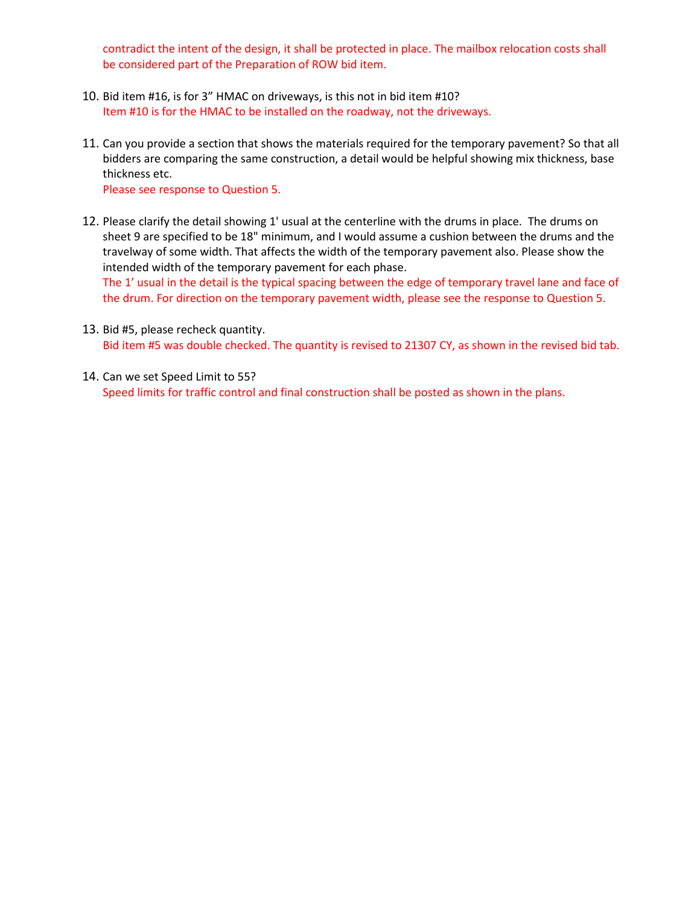contradict the intent of the design, it shall be protected in place. The mailbox relocation costs shall be considered part of the Preparation of ROW bid item.

- 10. Bid item #16, is for 3" HMAC on driveways, is this not in bid item #10? Item #10 is for the HMAC to be installed on the roadway, not the driveways.
- 11. Can you provide a section that shows the materials required for the temporary pavement? So that all bidders are comparing the same construction, a detail would be helpful showing mix thickness, base thickness etc.

Please see response to Question 5.

12. Please clarify the detail showing 1' usual at the centerline with the drums in place. The drums on sheet 9 are specified to be 18" minimum, and I would assume a cushion between the drums and the travelway of some width. That affects the width of the temporary pavement also. Please show the intended width of the temporary pavement for each phase.

The 1' usual in the detail is the typical spacing between the edge of temporary travel lane and face of the drum. For direction on the temporary pavement width, please see the response to Question 5.

- 13. Bid #5, please recheck quantity. Bid item #5 was double checked. The quantity is revised to 21307 CY, as shown in the revised bid tab.
- 14. Can we set Speed Limit to 55? Speed limits for traffic control and final construction shall be posted as shown in the plans.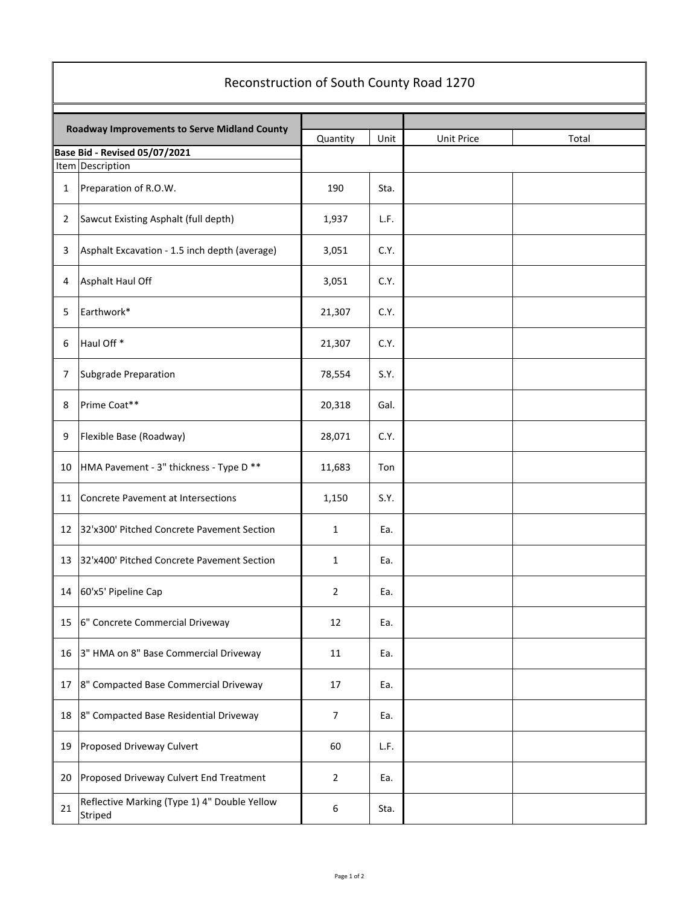| Reconstruction of South County Road 1270 |                                                         |                |      |            |       |  |  |  |
|------------------------------------------|---------------------------------------------------------|----------------|------|------------|-------|--|--|--|
|                                          | <b>Roadway Improvements to Serve Midland County</b>     |                |      |            |       |  |  |  |
|                                          |                                                         | Quantity       | Unit | Unit Price | Total |  |  |  |
|                                          | Base Bid - Revised 05/07/2021<br>Item Description       |                |      |            |       |  |  |  |
| $\mathbf{1}$                             | Preparation of R.O.W.                                   | 190            | Sta. |            |       |  |  |  |
| $\overline{2}$                           | Sawcut Existing Asphalt (full depth)                    | 1,937          | L.F. |            |       |  |  |  |
| 3                                        | Asphalt Excavation - 1.5 inch depth (average)           | 3,051          | C.Y. |            |       |  |  |  |
| 4                                        | Asphalt Haul Off                                        | 3,051          | C.Y. |            |       |  |  |  |
| 5                                        | Earthwork*                                              | 21,307         | C.Y. |            |       |  |  |  |
| 6                                        | Haul Off <sup>*</sup>                                   | 21,307         | C.Y. |            |       |  |  |  |
| 7                                        | Subgrade Preparation                                    | 78,554         | S.Y. |            |       |  |  |  |
| 8                                        | Prime Coat**                                            | 20,318         | Gal. |            |       |  |  |  |
| 9                                        | Flexible Base (Roadway)                                 | 28,071         | C.Y. |            |       |  |  |  |
| 10                                       | HMA Pavement - 3" thickness - Type D **                 | 11,683         | Ton  |            |       |  |  |  |
| 11                                       | Concrete Pavement at Intersections                      | 1,150          | S.Y. |            |       |  |  |  |
| 12                                       | 32'x300' Pitched Concrete Pavement Section              | 1              | Ea.  |            |       |  |  |  |
| 13                                       | 32'x400' Pitched Concrete Pavement Section              | 1              | Ea.  |            |       |  |  |  |
| 14                                       | 60'x5' Pipeline Cap                                     | $\overline{2}$ | Ea.  |            |       |  |  |  |
| 15                                       | 6" Concrete Commercial Driveway                         | 12             | Ea.  |            |       |  |  |  |
| 16                                       | 3" HMA on 8" Base Commercial Driveway                   | 11             | Ea.  |            |       |  |  |  |
| 17                                       | 8" Compacted Base Commercial Driveway                   | 17             | Ea.  |            |       |  |  |  |
| 18                                       | 8" Compacted Base Residential Driveway                  | $\overline{7}$ | Ea.  |            |       |  |  |  |
| 19                                       | Proposed Driveway Culvert                               | 60             | L.F. |            |       |  |  |  |
| 20                                       | Proposed Driveway Culvert End Treatment                 | $\overline{2}$ | Ea.  |            |       |  |  |  |
| 21                                       | Reflective Marking (Type 1) 4" Double Yellow<br>Striped | 6              | Sta. |            |       |  |  |  |